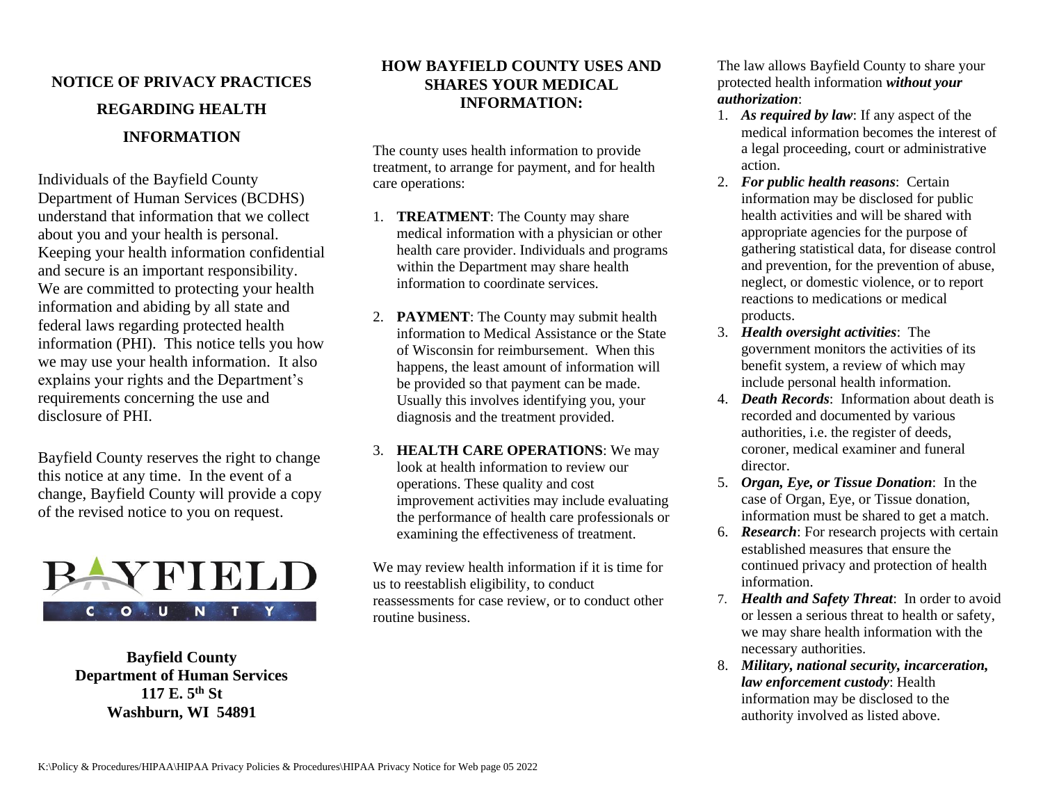# **NOTICE OF PRIVACY PRACTICES REGARDING HEALTH INFORMATION**

Individuals of the Bayfield County Department of Human Services (BCDHS) understand that information that we collect about you and your health is personal. Keeping your health information confidential and secure is an important responsibility. We are committed to protecting your health information and abiding by all state and federal laws regarding protected health information (PHI). This notice tells you how we may use your health information. It also explains your rights and the Department's requirements concerning the use and disclosure of PHI.

Bayfield County reserves the right to change this notice at any time. In the event of a change, Bayfield County will provide a copy of the revised notice to you on request.



**Bayfield County Department of Human Services 117 E. 5th St Washburn, WI 54891**

## **HOW BAYFIELD COUNTY USES AND SHARES YOUR MEDICAL INFORMATION:**

The county uses health information to provide treatment, to arrange for payment, and for health care operations:

- 1. **TREATMENT**: The County may share medical information with a physician or other health care provider. Individuals and programs within the Department may share health information to coordinate services.
- 2. **PAYMENT**: The County may submit health information to Medical Assistance or the State of Wisconsin for reimbursement. When this happens, the least amount of information will be provided so that payment can be made. Usually this involves identifying you, your diagnosis and the treatment provided.
- 3. **HEALTH CARE OPERATIONS**: We may look at health information to review our operations. These quality and cost improvement activities may include evaluating the performance of health care professionals or examining the effectiveness of treatment.

We may review health information if it is time for us to reestablish eligibility, to conduct reassessments for case review, or to conduct other routine business.

The law allows Bayfield County to share your protected health information *without your authorization*:

- 1. *As required by law*: If any aspect of the medical information becomes the interest of a legal proceeding, court or administrative action.
- 2. *For public health reasons*: Certain information may be disclosed for public health activities and will be shared with appropriate agencies for the purpose of gathering statistical data, for disease control and prevention, for the prevention of abuse, neglect, or domestic violence, or to report reactions to medications or medical products.
- 3. *Health oversight activities*: The government monitors the activities of its benefit system, a review of which may include personal health information.
- 4. *Death Records*: Information about death is recorded and documented by various authorities, i.e. the register of deeds, coroner, medical examiner and funeral director.
- 5. *Organ, Eye, or Tissue Donation*: In the case of Organ, Eye, or Tissue donation, information must be shared to get a match.
- 6. *Research*: For research projects with certain established measures that ensure the continued privacy and protection of health information.
- 7. *Health and Safety Threat*: In order to avoid or lessen a serious threat to health or safety, we may share health information with the necessary authorities.
- 8. *Military, national security, incarceration, law enforcement custody*: Health information may be disclosed to the authority involved as listed above.